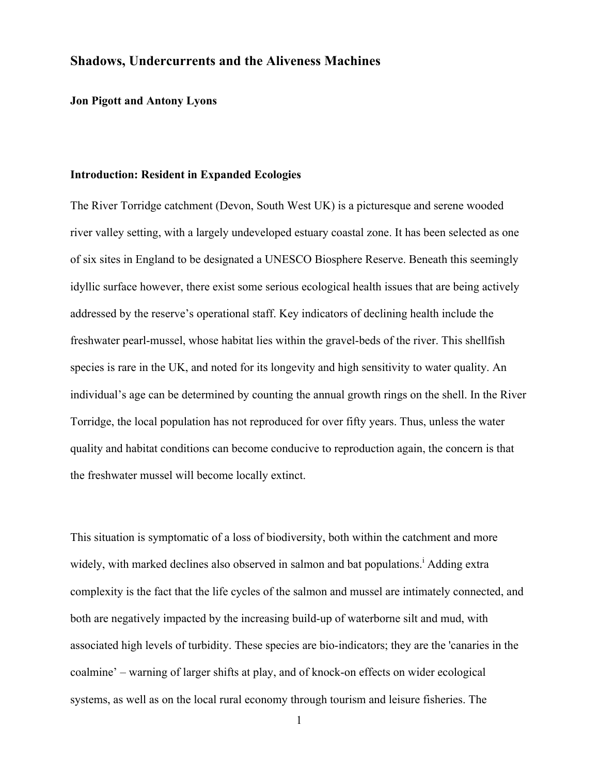# **Shadows, Undercurrents and the Aliveness Machines**

**Jon Pigott and Antony Lyons**

## **Introduction: Resident in Expanded Ecologies**

The River Torridge catchment (Devon, South West UK) is a picturesque and serene wooded river valley setting, with a largely undeveloped estuary coastal zone. It has been selected as one of six sites in England to be designated a UNESCO Biosphere Reserve. Beneath this seemingly idyllic surface however, there exist some serious ecological health issues that are being actively addressed by the reserve's operational staff. Key indicators of declining health include the freshwater pearl-mussel, whose habitat lies within the gravel-beds of the river. This shellfish species is rare in the UK, and noted for its longevity and high sensitivity to water quality. An individual's age can be determined by counting the annual growth rings on the shell. In the River Torridge, the local population has not reproduced for over fifty years. Thus, unless the water quality and habitat conditions can become conducive to reproduction again, the concern is that the freshwater mussel will become locally extinct.

This situation is symptomatic of a loss of biodiversity, both within the catchment and more widely, with marked declines also observed in salmon and bat populations.<sup>1</sup> Adding extra complexity is the fact that the life cycles of the salmon and mussel are intimately connected, and both are negatively impacted by the increasing build-up of waterborne silt and mud, with associated high levels of turbidity. These species are bio-indicators; they are the 'canaries in the coalmine' – warning of larger shifts at play, and of knock-on effects on wider ecological systems, as well as on the local rural economy through tourism and leisure fisheries. The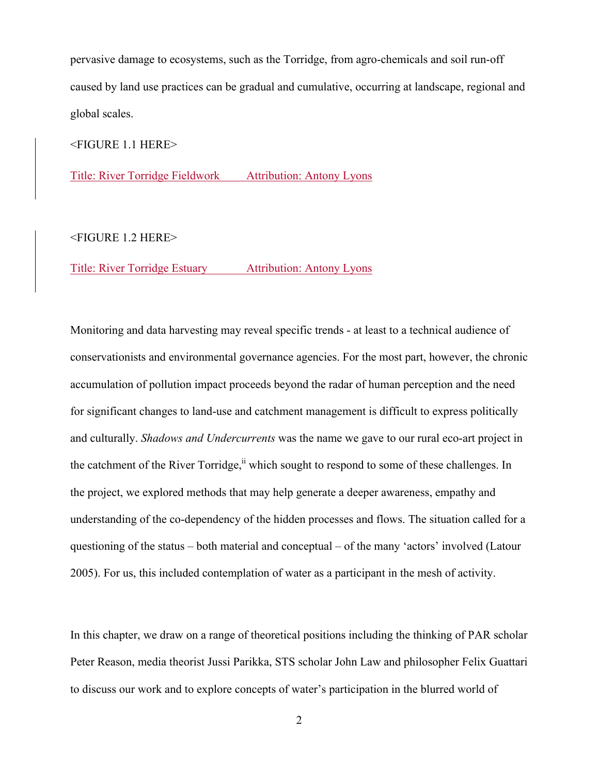pervasive damage to ecosystems, such as the Torridge, from agro-chemicals and soil run-off caused by land use practices can be gradual and cumulative, occurring at landscape, regional and global scales.

## <FIGURE 1.1 HERE>

Title: River Torridge Fieldwork Attribution: Antony Lyons

#### <FIGURE 1.2 HERE>

#### Title: River Torridge Estuary **Attribution: Antony Lyons**

Monitoring and data harvesting may reveal specific trends - at least to a technical audience of conservationists and environmental governance agencies. For the most part, however, the chronic accumulation of pollution impact proceeds beyond the radar of human perception and the need for significant changes to land-use and catchment management is difficult to express politically and culturally. *Shadows and Undercurrents* was the name we gave to our rural eco-art project in the catchment of the River Torridge, if which sought to respond to some of these challenges. In the project, we explored methods that may help generate a deeper awareness, empathy and understanding of the co-dependency of the hidden processes and flows. The situation called for a questioning of the status – both material and conceptual – of the many 'actors' involved (Latour 2005). For us, this included contemplation of water as a participant in the mesh of activity.

In this chapter, we draw on a range of theoretical positions including the thinking of PAR scholar Peter Reason, media theorist Jussi Parikka, STS scholar John Law and philosopher Felix Guattari to discuss our work and to explore concepts of water's participation in the blurred world of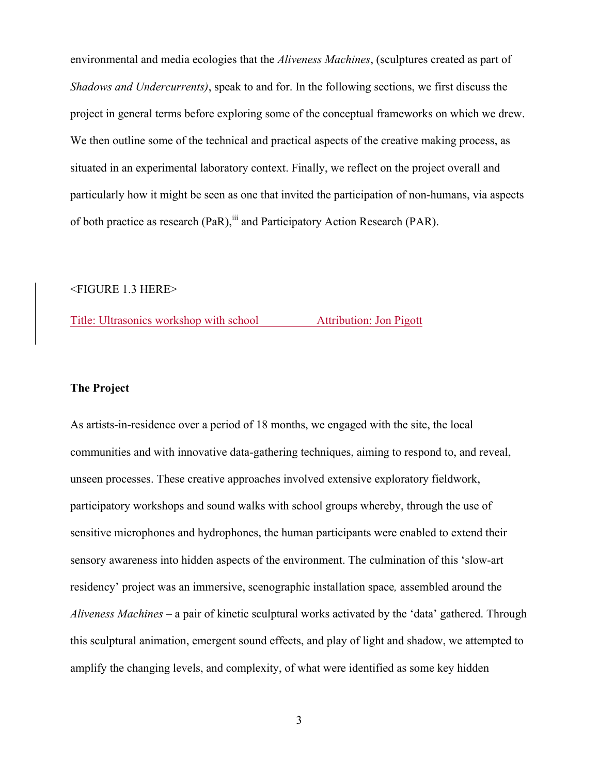environmental and media ecologies that the *Aliveness Machines*, (sculptures created as part of *Shadows and Undercurrents)*, speak to and for. In the following sections, we first discuss the project in general terms before exploring some of the conceptual frameworks on which we drew. We then outline some of the technical and practical aspects of the creative making process, as situated in an experimental laboratory context. Finally, we reflect on the project overall and particularly how it might be seen as one that invited the participation of non-humans, via aspects of both practice as research (PaR), iii and Participatory Action Research (PAR).

#### <FIGURE 1.3 HERE>

Title: Ultrasonics workshop with school Attribution: Jon Pigott

### **The Project**

As artists-in-residence over a period of 18 months, we engaged with the site, the local communities and with innovative data-gathering techniques, aiming to respond to, and reveal, unseen processes. These creative approaches involved extensive exploratory fieldwork, participatory workshops and sound walks with school groups whereby, through the use of sensitive microphones and hydrophones, the human participants were enabled to extend their sensory awareness into hidden aspects of the environment. The culmination of this 'slow-art residency' project was an immersive, scenographic installation space*,* assembled around the *Aliveness Machines –* a pair of kinetic sculptural works activated by the 'data' gathered. Through this sculptural animation, emergent sound effects, and play of light and shadow, we attempted to amplify the changing levels, and complexity, of what were identified as some key hidden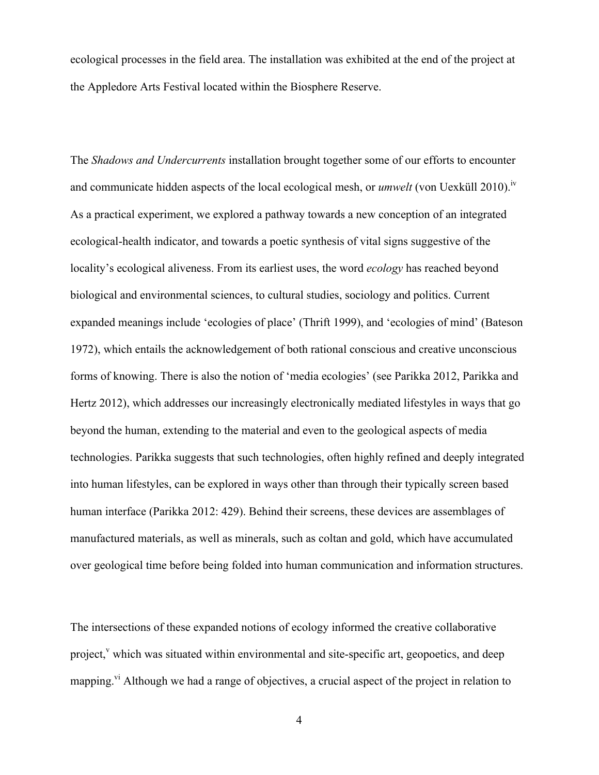ecological processes in the field area. The installation was exhibited at the end of the project at the Appledore Arts Festival located within the Biosphere Reserve.

The *Shadows and Undercurrents* installation brought together some of our efforts to encounter and communicate hidden aspects of the local ecological mesh, or *umwelt* (von Uexküll 2010).<sup>iv</sup> As a practical experiment, we explored a pathway towards a new conception of an integrated ecological-health indicator, and towards a poetic synthesis of vital signs suggestive of the locality's ecological aliveness. From its earliest uses, the word *ecology* has reached beyond biological and environmental sciences, to cultural studies, sociology and politics. Current expanded meanings include 'ecologies of place' (Thrift 1999), and 'ecologies of mind' (Bateson 1972), which entails the acknowledgement of both rational conscious and creative unconscious forms of knowing. There is also the notion of 'media ecologies' (see Parikka 2012, Parikka and Hertz 2012), which addresses our increasingly electronically mediated lifestyles in ways that go beyond the human, extending to the material and even to the geological aspects of media technologies. Parikka suggests that such technologies, often highly refined and deeply integrated into human lifestyles, can be explored in ways other than through their typically screen based human interface (Parikka 2012: 429). Behind their screens, these devices are assemblages of manufactured materials, as well as minerals, such as coltan and gold, which have accumulated over geological time before being folded into human communication and information structures.

The intersections of these expanded notions of ecology informed the creative collaborative project,<sup>v</sup> which was situated within environmental and site-specific art, geopoetics, and deep mapping.<sup>vi</sup> Although we had a range of objectives, a crucial aspect of the project in relation to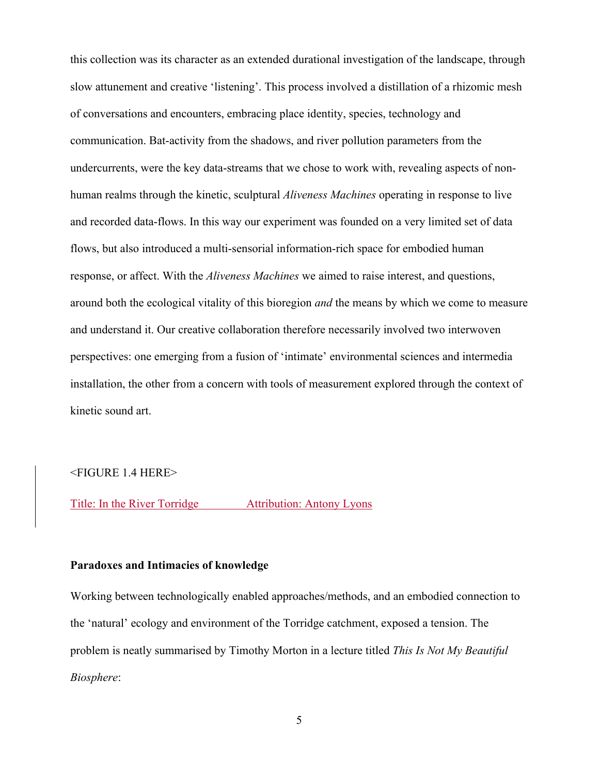this collection was its character as an extended durational investigation of the landscape, through slow attunement and creative 'listening'. This process involved a distillation of a rhizomic mesh of conversations and encounters, embracing place identity, species, technology and communication. Bat-activity from the shadows, and river pollution parameters from the undercurrents, were the key data-streams that we chose to work with, revealing aspects of nonhuman realms through the kinetic, sculptural *Aliveness Machines* operating in response to live and recorded data-flows. In this way our experiment was founded on a very limited set of data flows, but also introduced a multi-sensorial information-rich space for embodied human response, or affect. With the *Aliveness Machines* we aimed to raise interest, and questions, around both the ecological vitality of this bioregion *and* the means by which we come to measure and understand it. Our creative collaboration therefore necessarily involved two interwoven perspectives: one emerging from a fusion of 'intimate' environmental sciences and intermedia installation, the other from a concern with tools of measurement explored through the context of kinetic sound art.

#### <FIGURE 1.4 HERE>

## Title: In the River Torridge Attribution: Antony Lyons

## **Paradoxes and Intimacies of knowledge**

Working between technologically enabled approaches/methods, and an embodied connection to the 'natural' ecology and environment of the Torridge catchment, exposed a tension. The problem is neatly summarised by Timothy Morton in a lecture titled *This Is Not My Beautiful Biosphere*: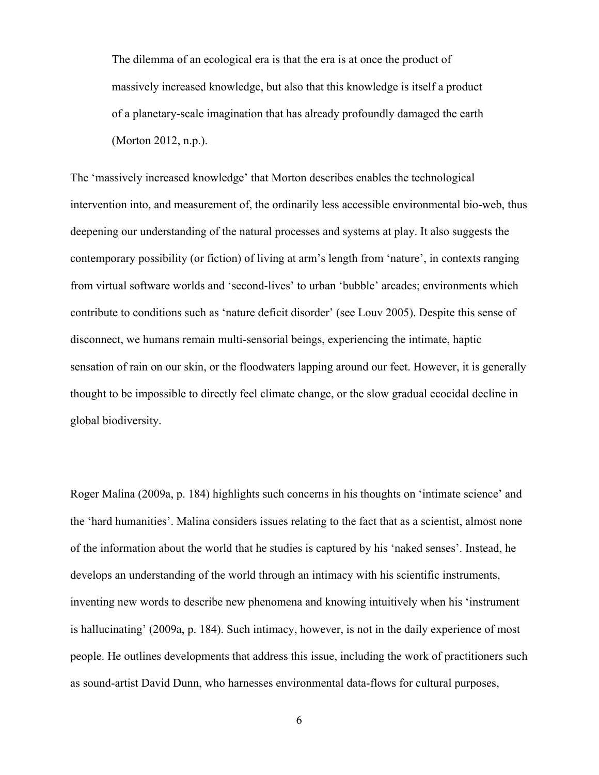The dilemma of an ecological era is that the era is at once the product of massively increased knowledge, but also that this knowledge is itself a product of a planetary-scale imagination that has already profoundly damaged the earth (Morton 2012, n.p.).

The 'massively increased knowledge' that Morton describes enables the technological intervention into, and measurement of, the ordinarily less accessible environmental bio-web, thus deepening our understanding of the natural processes and systems at play. It also suggests the contemporary possibility (or fiction) of living at arm's length from 'nature', in contexts ranging from virtual software worlds and 'second-lives' to urban 'bubble' arcades; environments which contribute to conditions such as 'nature deficit disorder' (see Louv 2005). Despite this sense of disconnect, we humans remain multi-sensorial beings, experiencing the intimate, haptic sensation of rain on our skin, or the floodwaters lapping around our feet. However, it is generally thought to be impossible to directly feel climate change, or the slow gradual ecocidal decline in global biodiversity.

Roger Malina (2009a, p. 184) highlights such concerns in his thoughts on 'intimate science' and the 'hard humanities'. Malina considers issues relating to the fact that as a scientist, almost none of the information about the world that he studies is captured by his 'naked senses'. Instead, he develops an understanding of the world through an intimacy with his scientific instruments, inventing new words to describe new phenomena and knowing intuitively when his 'instrument is hallucinating' (2009a, p. 184). Such intimacy, however, is not in the daily experience of most people. He outlines developments that address this issue, including the work of practitioners such as sound-artist David Dunn, who harnesses environmental data-flows for cultural purposes,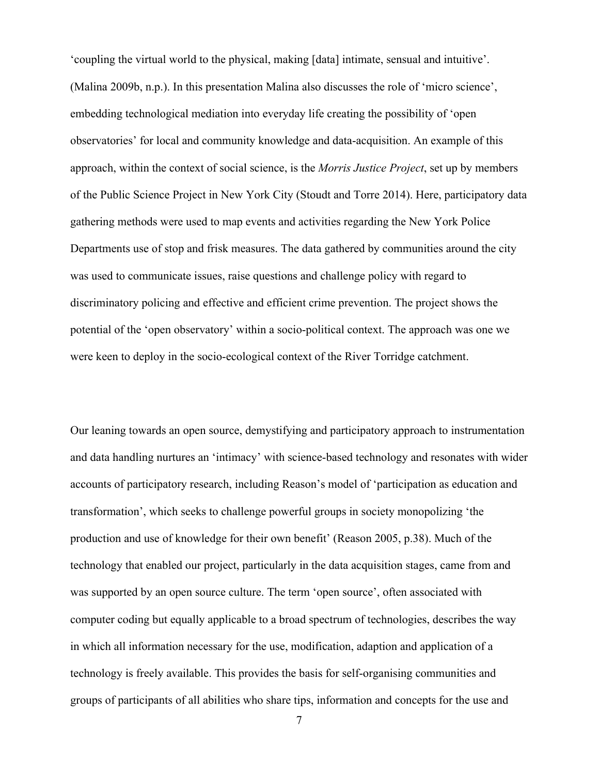'coupling the virtual world to the physical, making [data] intimate, sensual and intuitive'. (Malina 2009b, n.p.). In this presentation Malina also discusses the role of 'micro science', embedding technological mediation into everyday life creating the possibility of 'open observatories' for local and community knowledge and data-acquisition. An example of this approach, within the context of social science, is the *Morris Justice Project*, set up by members of the Public Science Project in New York City (Stoudt and Torre 2014). Here, participatory data gathering methods were used to map events and activities regarding the New York Police Departments use of stop and frisk measures. The data gathered by communities around the city was used to communicate issues, raise questions and challenge policy with regard to discriminatory policing and effective and efficient crime prevention. The project shows the potential of the 'open observatory' within a socio-political context. The approach was one we were keen to deploy in the socio-ecological context of the River Torridge catchment.

Our leaning towards an open source, demystifying and participatory approach to instrumentation and data handling nurtures an 'intimacy' with science-based technology and resonates with wider accounts of participatory research, including Reason's model of 'participation as education and transformation', which seeks to challenge powerful groups in society monopolizing 'the production and use of knowledge for their own benefit' (Reason 2005, p.38). Much of the technology that enabled our project, particularly in the data acquisition stages, came from and was supported by an open source culture. The term 'open source', often associated with computer coding but equally applicable to a broad spectrum of technologies, describes the way in which all information necessary for the use, modification, adaption and application of a technology is freely available. This provides the basis for self-organising communities and groups of participants of all abilities who share tips, information and concepts for the use and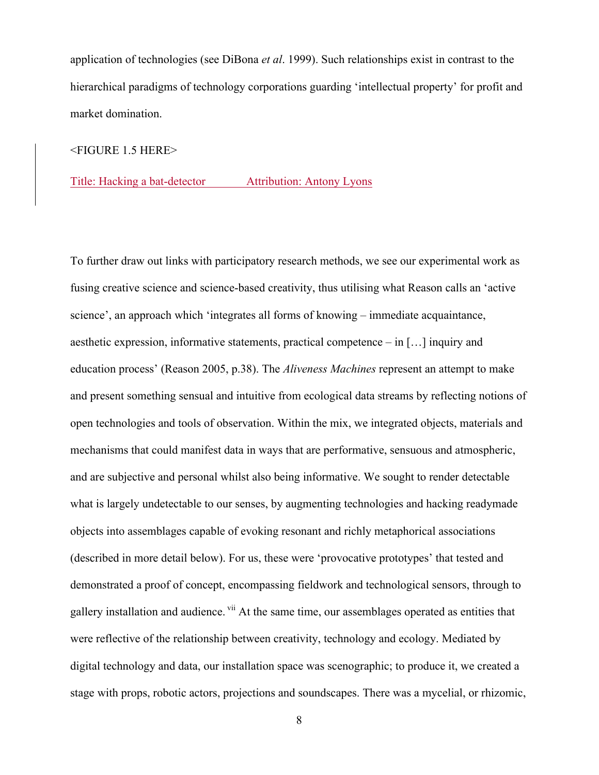application of technologies (see DiBona *et al*. 1999). Such relationships exist in contrast to the hierarchical paradigms of technology corporations guarding 'intellectual property' for profit and market domination.

#### <FIGURE 1.5 HERE>

#### Title: Hacking a bat-detector Attribution: Antony Lyons

To further draw out links with participatory research methods, we see our experimental work as fusing creative science and science-based creativity, thus utilising what Reason calls an 'active science', an approach which 'integrates all forms of knowing – immediate acquaintance, aesthetic expression, informative statements, practical competence – in […] inquiry and education process' (Reason 2005, p.38). The *Aliveness Machines* represent an attempt to make and present something sensual and intuitive from ecological data streams by reflecting notions of open technologies and tools of observation. Within the mix, we integrated objects, materials and mechanisms that could manifest data in ways that are performative, sensuous and atmospheric, and are subjective and personal whilst also being informative. We sought to render detectable what is largely undetectable to our senses, by augmenting technologies and hacking readymade objects into assemblages capable of evoking resonant and richly metaphorical associations (described in more detail below). For us, these were 'provocative prototypes' that tested and demonstrated a proof of concept, encompassing fieldwork and technological sensors, through to gallery installation and audience. <sup>vii</sup> At the same time, our assemblages operated as entities that were reflective of the relationship between creativity, technology and ecology. Mediated by digital technology and data, our installation space was scenographic; to produce it, we created a stage with props, robotic actors, projections and soundscapes. There was a mycelial, or rhizomic,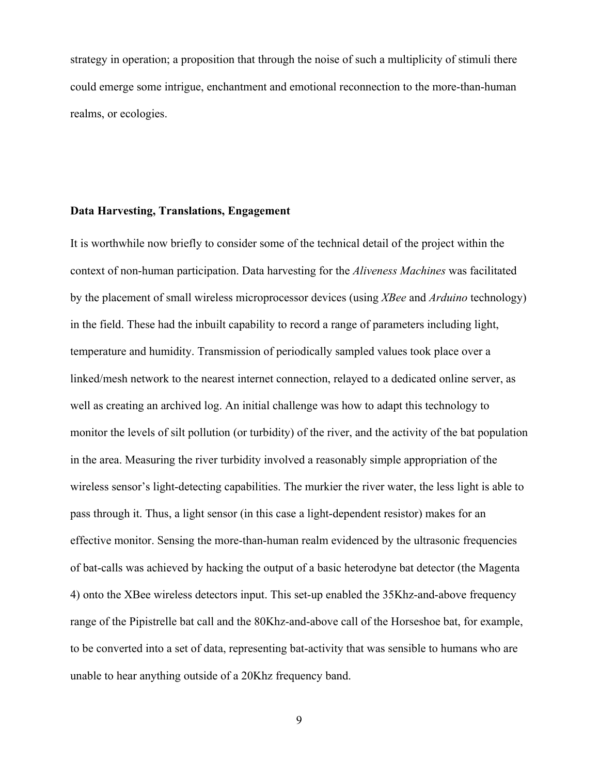strategy in operation; a proposition that through the noise of such a multiplicity of stimuli there could emerge some intrigue, enchantment and emotional reconnection to the more-than-human realms, or ecologies.

## **Data Harvesting, Translations, Engagement**

It is worthwhile now briefly to consider some of the technical detail of the project within the context of non-human participation. Data harvesting for the *Aliveness Machines* was facilitated by the placement of small wireless microprocessor devices (using *XBee* and *Arduino* technology) in the field. These had the inbuilt capability to record a range of parameters including light, temperature and humidity. Transmission of periodically sampled values took place over a linked/mesh network to the nearest internet connection, relayed to a dedicated online server, as well as creating an archived log. An initial challenge was how to adapt this technology to monitor the levels of silt pollution (or turbidity) of the river, and the activity of the bat population in the area. Measuring the river turbidity involved a reasonably simple appropriation of the wireless sensor's light-detecting capabilities. The murkier the river water, the less light is able to pass through it. Thus, a light sensor (in this case a light-dependent resistor) makes for an effective monitor. Sensing the more-than-human realm evidenced by the ultrasonic frequencies of bat-calls was achieved by hacking the output of a basic heterodyne bat detector (the Magenta 4) onto the XBee wireless detectors input. This set-up enabled the 35Khz-and-above frequency range of the Pipistrelle bat call and the 80Khz-and-above call of the Horseshoe bat, for example, to be converted into a set of data, representing bat-activity that was sensible to humans who are unable to hear anything outside of a 20Khz frequency band.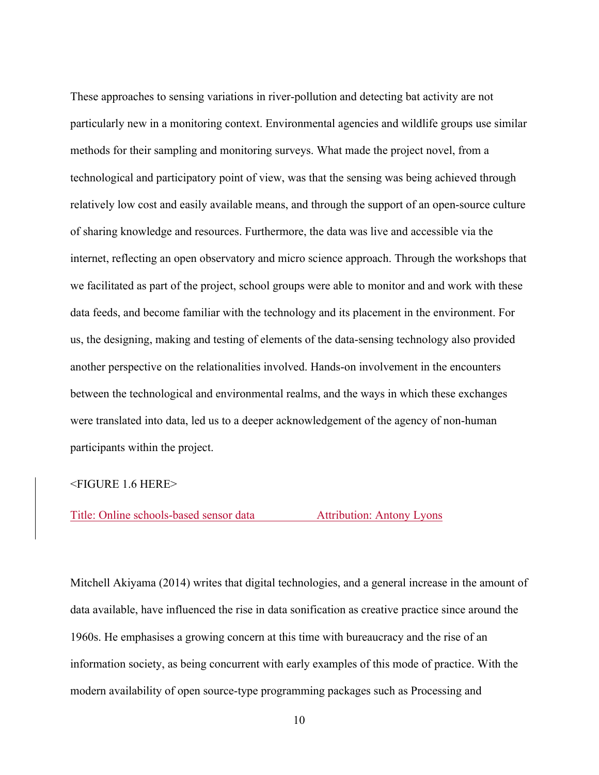These approaches to sensing variations in river-pollution and detecting bat activity are not particularly new in a monitoring context. Environmental agencies and wildlife groups use similar methods for their sampling and monitoring surveys. What made the project novel, from a technological and participatory point of view, was that the sensing was being achieved through relatively low cost and easily available means, and through the support of an open-source culture of sharing knowledge and resources. Furthermore, the data was live and accessible via the internet, reflecting an open observatory and micro science approach. Through the workshops that we facilitated as part of the project, school groups were able to monitor and and work with these data feeds, and become familiar with the technology and its placement in the environment. For us, the designing, making and testing of elements of the data-sensing technology also provided another perspective on the relationalities involved. Hands-on involvement in the encounters between the technological and environmental realms, and the ways in which these exchanges were translated into data, led us to a deeper acknowledgement of the agency of non-human participants within the project.

### <FIGURE 1.6 HERE>

Title: Online schools-based sensor data Attribution: Antony Lyons

Mitchell Akiyama (2014) writes that digital technologies, and a general increase in the amount of data available, have influenced the rise in data sonification as creative practice since around the 1960s. He emphasises a growing concern at this time with bureaucracy and the rise of an information society, as being concurrent with early examples of this mode of practice. With the modern availability of open source-type programming packages such as Processing and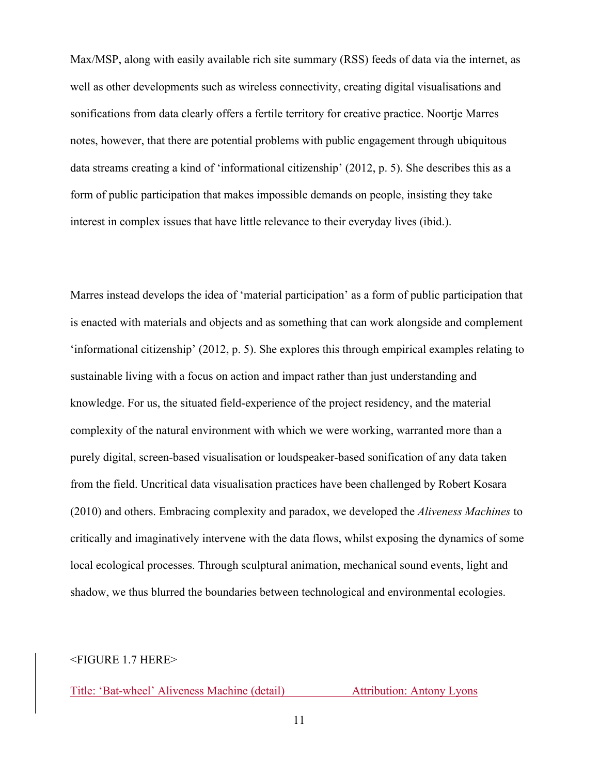Max/MSP, along with easily available rich site summary (RSS) feeds of data via the internet, as well as other developments such as wireless connectivity, creating digital visualisations and sonifications from data clearly offers a fertile territory for creative practice. Noortje Marres notes, however, that there are potential problems with public engagement through ubiquitous data streams creating a kind of 'informational citizenship' (2012, p. 5). She describes this as a form of public participation that makes impossible demands on people, insisting they take interest in complex issues that have little relevance to their everyday lives (ibid.).

Marres instead develops the idea of 'material participation' as a form of public participation that is enacted with materials and objects and as something that can work alongside and complement 'informational citizenship' (2012, p. 5). She explores this through empirical examples relating to sustainable living with a focus on action and impact rather than just understanding and knowledge. For us, the situated field-experience of the project residency, and the material complexity of the natural environment with which we were working, warranted more than a purely digital, screen-based visualisation or loudspeaker-based sonification of any data taken from the field. Uncritical data visualisation practices have been challenged by Robert Kosara (2010) and others. Embracing complexity and paradox, we developed the *Aliveness Machines* to critically and imaginatively intervene with the data flows, whilst exposing the dynamics of some local ecological processes. Through sculptural animation, mechanical sound events, light and shadow, we thus blurred the boundaries between technological and environmental ecologies.

#### <FIGURE 1.7 HERE>

### Title: 'Bat-wheel' Aliveness Machine (detail) Attribution: Antony Lyons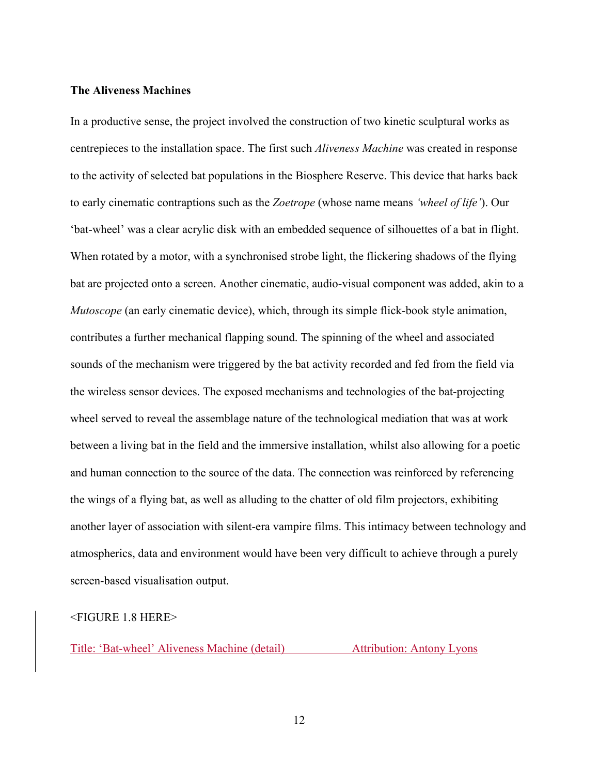### **The Aliveness Machines**

In a productive sense, the project involved the construction of two kinetic sculptural works as centrepieces to the installation space. The first such *Aliveness Machine* was created in response to the activity of selected bat populations in the Biosphere Reserve. This device that harks back to early cinematic contraptions such as the *Zoetrope* (whose name means *'wheel of life'*). Our 'bat-wheel' was a clear acrylic disk with an embedded sequence of silhouettes of a bat in flight. When rotated by a motor, with a synchronised strobe light, the flickering shadows of the flying bat are projected onto a screen. Another cinematic, audio-visual component was added, akin to a *Mutoscope* (an early cinematic device), which, through its simple flick-book style animation, contributes a further mechanical flapping sound. The spinning of the wheel and associated sounds of the mechanism were triggered by the bat activity recorded and fed from the field via the wireless sensor devices. The exposed mechanisms and technologies of the bat-projecting wheel served to reveal the assemblage nature of the technological mediation that was at work between a living bat in the field and the immersive installation, whilst also allowing for a poetic and human connection to the source of the data. The connection was reinforced by referencing the wings of a flying bat, as well as alluding to the chatter of old film projectors, exhibiting another layer of association with silent-era vampire films. This intimacy between technology and atmospherics, data and environment would have been very difficult to achieve through a purely screen-based visualisation output.

### <FIGURE 1.8 HERE>

#### Title: 'Bat-wheel' Aliveness Machine (detail) Attribution: Antony Lyons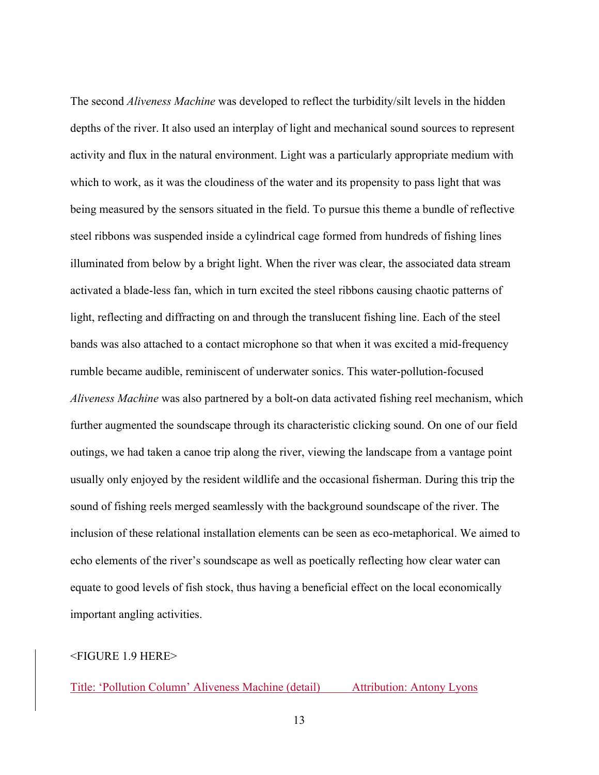The second *Aliveness Machine* was developed to reflect the turbidity/silt levels in the hidden depths of the river. It also used an interplay of light and mechanical sound sources to represent activity and flux in the natural environment. Light was a particularly appropriate medium with which to work, as it was the cloudiness of the water and its propensity to pass light that was being measured by the sensors situated in the field. To pursue this theme a bundle of reflective steel ribbons was suspended inside a cylindrical cage formed from hundreds of fishing lines illuminated from below by a bright light. When the river was clear, the associated data stream activated a blade-less fan, which in turn excited the steel ribbons causing chaotic patterns of light, reflecting and diffracting on and through the translucent fishing line. Each of the steel bands was also attached to a contact microphone so that when it was excited a mid-frequency rumble became audible, reminiscent of underwater sonics. This water-pollution-focused *Aliveness Machine* was also partnered by a bolt-on data activated fishing reel mechanism, which further augmented the soundscape through its characteristic clicking sound. On one of our field outings, we had taken a canoe trip along the river, viewing the landscape from a vantage point usually only enjoyed by the resident wildlife and the occasional fisherman. During this trip the sound of fishing reels merged seamlessly with the background soundscape of the river. The inclusion of these relational installation elements can be seen as eco-metaphorical. We aimed to echo elements of the river's soundscape as well as poetically reflecting how clear water can equate to good levels of fish stock, thus having a beneficial effect on the local economically important angling activities.

## <FIGURE 1.9 HERE>

#### Title: 'Pollution Column' Aliveness Machine (detail) Attribution: Antony Lyons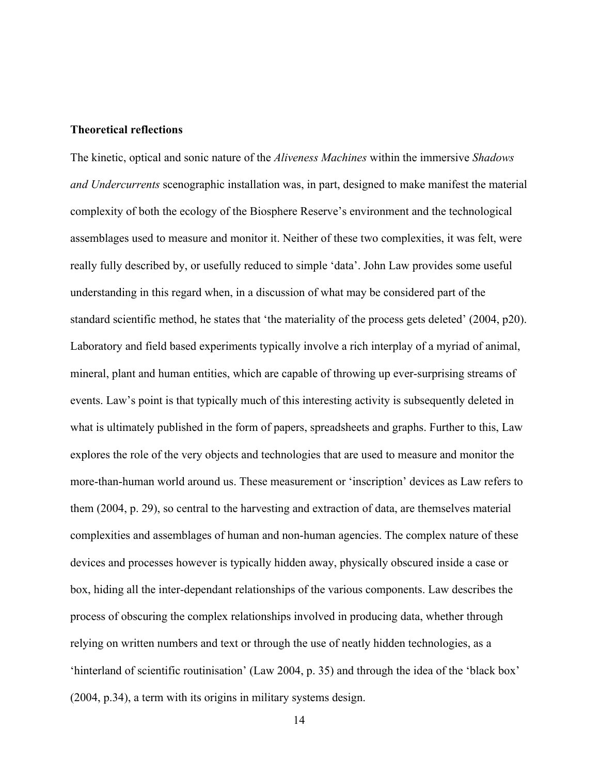#### **Theoretical reflections**

The kinetic, optical and sonic nature of the *Aliveness Machines* within the immersive *Shadows and Undercurrents* scenographic installation was, in part, designed to make manifest the material complexity of both the ecology of the Biosphere Reserve's environment and the technological assemblages used to measure and monitor it. Neither of these two complexities, it was felt, were really fully described by, or usefully reduced to simple 'data'. John Law provides some useful understanding in this regard when, in a discussion of what may be considered part of the standard scientific method, he states that 'the materiality of the process gets deleted' (2004, p20). Laboratory and field based experiments typically involve a rich interplay of a myriad of animal, mineral, plant and human entities, which are capable of throwing up ever-surprising streams of events. Law's point is that typically much of this interesting activity is subsequently deleted in what is ultimately published in the form of papers, spreadsheets and graphs. Further to this, Law explores the role of the very objects and technologies that are used to measure and monitor the more-than-human world around us. These measurement or 'inscription' devices as Law refers to them (2004, p. 29), so central to the harvesting and extraction of data, are themselves material complexities and assemblages of human and non-human agencies. The complex nature of these devices and processes however is typically hidden away, physically obscured inside a case or box, hiding all the inter-dependant relationships of the various components. Law describes the process of obscuring the complex relationships involved in producing data, whether through relying on written numbers and text or through the use of neatly hidden technologies, as a 'hinterland of scientific routinisation' (Law 2004, p. 35) and through the idea of the 'black box' (2004, p.34), a term with its origins in military systems design.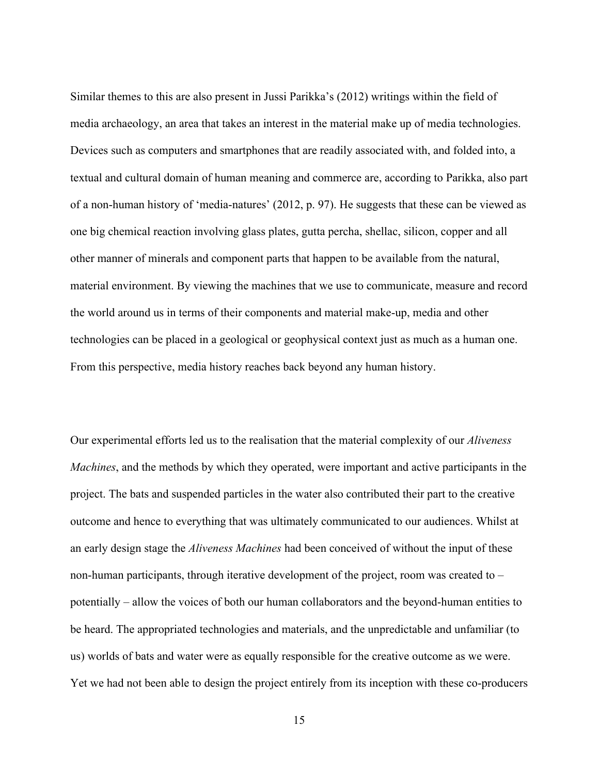Similar themes to this are also present in Jussi Parikka's (2012) writings within the field of media archaeology, an area that takes an interest in the material make up of media technologies. Devices such as computers and smartphones that are readily associated with, and folded into, a textual and cultural domain of human meaning and commerce are, according to Parikka, also part of a non-human history of 'media-natures' (2012, p. 97). He suggests that these can be viewed as one big chemical reaction involving glass plates, gutta percha, shellac, silicon, copper and all other manner of minerals and component parts that happen to be available from the natural, material environment. By viewing the machines that we use to communicate, measure and record the world around us in terms of their components and material make-up, media and other technologies can be placed in a geological or geophysical context just as much as a human one. From this perspective, media history reaches back beyond any human history.

Our experimental efforts led us to the realisation that the material complexity of our *Aliveness Machines*, and the methods by which they operated, were important and active participants in the project. The bats and suspended particles in the water also contributed their part to the creative outcome and hence to everything that was ultimately communicated to our audiences. Whilst at an early design stage the *Aliveness Machines* had been conceived of without the input of these non-human participants, through iterative development of the project, room was created to – potentially – allow the voices of both our human collaborators and the beyond-human entities to be heard. The appropriated technologies and materials, and the unpredictable and unfamiliar (to us) worlds of bats and water were as equally responsible for the creative outcome as we were. Yet we had not been able to design the project entirely from its inception with these co-producers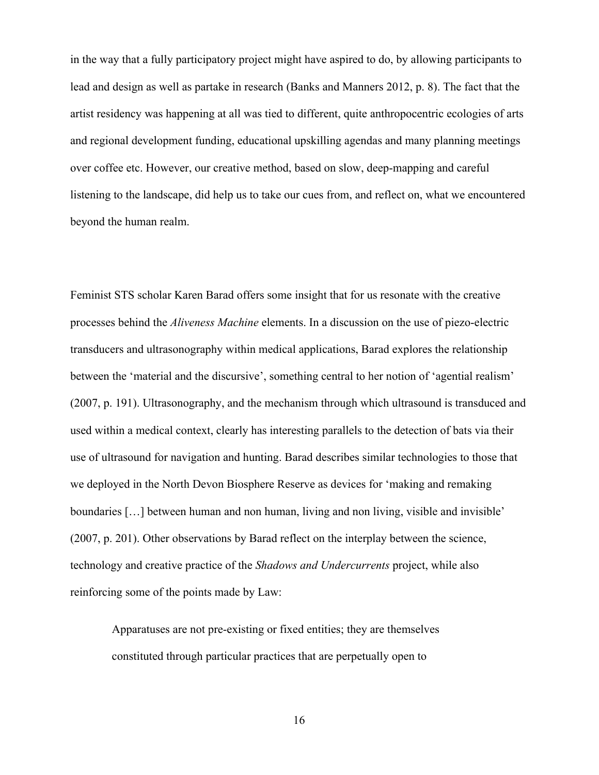in the way that a fully participatory project might have aspired to do, by allowing participants to lead and design as well as partake in research (Banks and Manners 2012, p. 8). The fact that the artist residency was happening at all was tied to different, quite anthropocentric ecologies of arts and regional development funding, educational upskilling agendas and many planning meetings over coffee etc. However, our creative method, based on slow, deep-mapping and careful listening to the landscape, did help us to take our cues from, and reflect on, what we encountered beyond the human realm.

Feminist STS scholar Karen Barad offers some insight that for us resonate with the creative processes behind the *Aliveness Machine* elements. In a discussion on the use of piezo-electric transducers and ultrasonography within medical applications, Barad explores the relationship between the 'material and the discursive', something central to her notion of 'agential realism' (2007, p. 191). Ultrasonography, and the mechanism through which ultrasound is transduced and used within a medical context, clearly has interesting parallels to the detection of bats via their use of ultrasound for navigation and hunting. Barad describes similar technologies to those that we deployed in the North Devon Biosphere Reserve as devices for 'making and remaking boundaries […] between human and non human, living and non living, visible and invisible' (2007, p. 201). Other observations by Barad reflect on the interplay between the science, technology and creative practice of the *Shadows and Undercurrents* project, while also reinforcing some of the points made by Law:

Apparatuses are not pre-existing or fixed entities; they are themselves constituted through particular practices that are perpetually open to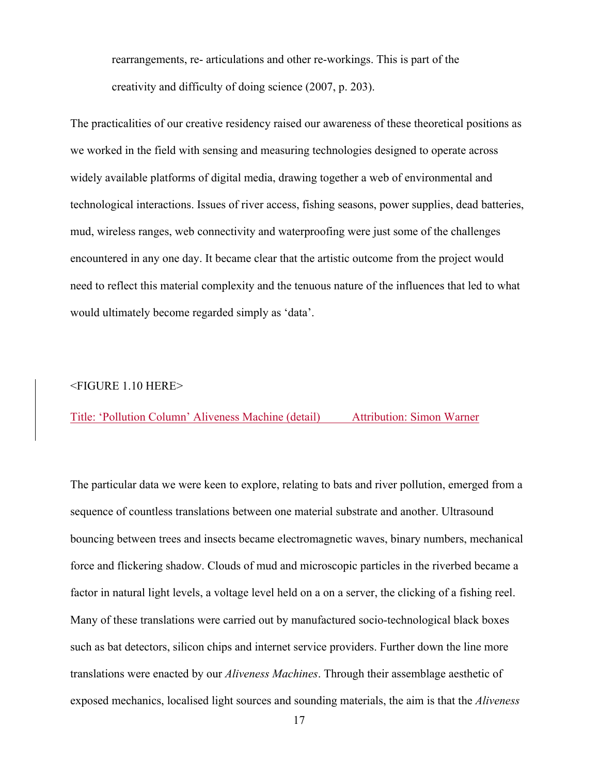rearrangements, re- articulations and other re-workings. This is part of the creativity and difficulty of doing science (2007, p. 203).

The practicalities of our creative residency raised our awareness of these theoretical positions as we worked in the field with sensing and measuring technologies designed to operate across widely available platforms of digital media, drawing together a web of environmental and technological interactions. Issues of river access, fishing seasons, power supplies, dead batteries, mud, wireless ranges, web connectivity and waterproofing were just some of the challenges encountered in any one day. It became clear that the artistic outcome from the project would need to reflect this material complexity and the tenuous nature of the influences that led to what would ultimately become regarded simply as 'data'.

### <FIGURE 1.10 HERE>

## Title: 'Pollution Column' Aliveness Machine (detail) Attribution: Simon Warner

The particular data we were keen to explore, relating to bats and river pollution, emerged from a sequence of countless translations between one material substrate and another. Ultrasound bouncing between trees and insects became electromagnetic waves, binary numbers, mechanical force and flickering shadow. Clouds of mud and microscopic particles in the riverbed became a factor in natural light levels, a voltage level held on a on a server, the clicking of a fishing reel. Many of these translations were carried out by manufactured socio-technological black boxes such as bat detectors, silicon chips and internet service providers. Further down the line more translations were enacted by our *Aliveness Machines*. Through their assemblage aesthetic of exposed mechanics, localised light sources and sounding materials, the aim is that the *Aliveness*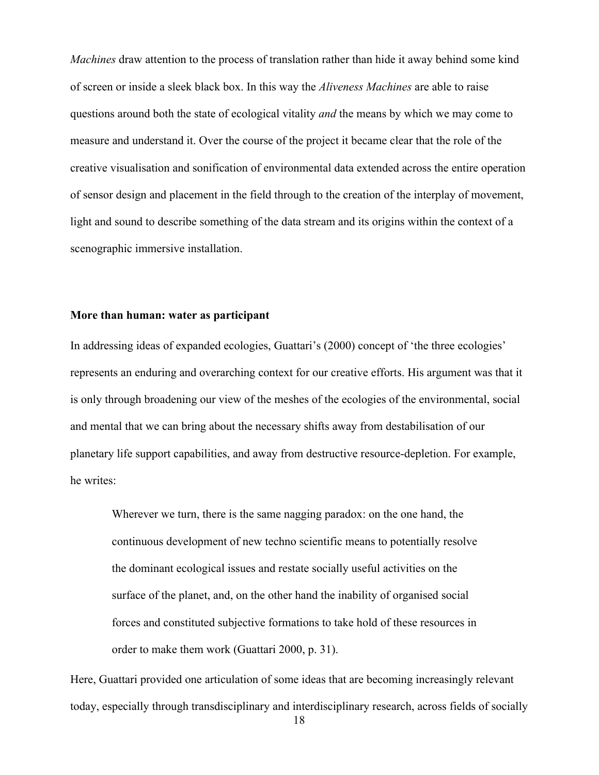*Machines* draw attention to the process of translation rather than hide it away behind some kind of screen or inside a sleek black box. In this way the *Aliveness Machines* are able to raise questions around both the state of ecological vitality *and* the means by which we may come to measure and understand it. Over the course of the project it became clear that the role of the creative visualisation and sonification of environmental data extended across the entire operation of sensor design and placement in the field through to the creation of the interplay of movement, light and sound to describe something of the data stream and its origins within the context of a scenographic immersive installation.

### **More than human: water as participant**

In addressing ideas of expanded ecologies, Guattari's (2000) concept of 'the three ecologies' represents an enduring and overarching context for our creative efforts. His argument was that it is only through broadening our view of the meshes of the ecologies of the environmental, social and mental that we can bring about the necessary shifts away from destabilisation of our planetary life support capabilities, and away from destructive resource-depletion. For example, he writes:

Wherever we turn, there is the same nagging paradox: on the one hand, the continuous development of new techno scientific means to potentially resolve the dominant ecological issues and restate socially useful activities on the surface of the planet, and, on the other hand the inability of organised social forces and constituted subjective formations to take hold of these resources in order to make them work (Guattari 2000, p. 31).

Here, Guattari provided one articulation of some ideas that are becoming increasingly relevant today, especially through transdisciplinary and interdisciplinary research, across fields of socially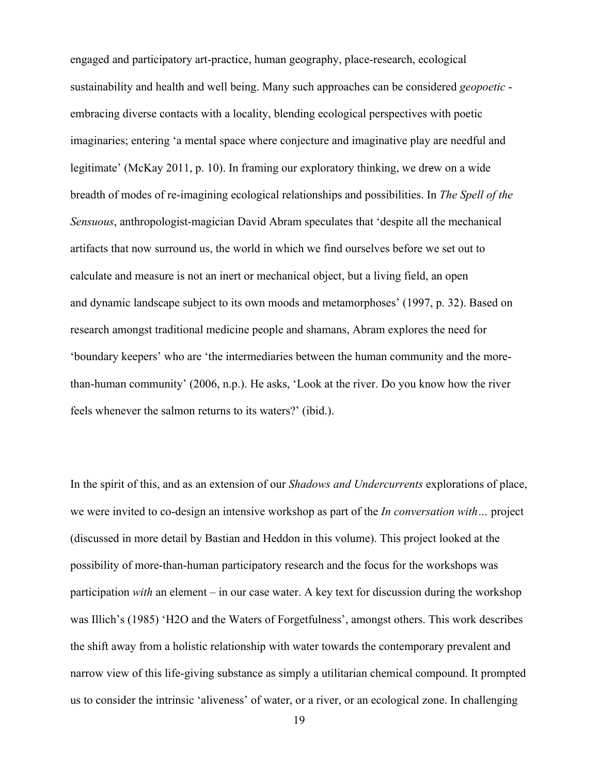engaged and participatory art-practice, human geography, place-research, ecological sustainability and health and well being. Many such approaches can be considered *geopoetic* embracing diverse contacts with a locality, blending ecological perspectives with poetic imaginaries; entering 'a mental space where conjecture and imaginative play are needful and legitimate' (McKay 2011, p. 10). In framing our exploratory thinking, we drew on a wide breadth of modes of re-imagining ecological relationships and possibilities. In *The Spell of the Sensuous*, anthropologist-magician David Abram speculates that 'despite all the mechanical artifacts that now surround us, the world in which we find ourselves before we set out to calculate and measure is not an inert or mechanical object, but a living field, an open and dynamic landscape subject to its own moods and metamorphoses' (1997, p. 32). Based on research amongst traditional medicine people and shamans, Abram explores the need for 'boundary keepers' who are 'the intermediaries between the human community and the morethan-human community' (2006, n.p.). He asks, 'Look at the river. Do you know how the river feels whenever the salmon returns to its waters?' (ibid.).

In the spirit of this, and as an extension of our *Shadows and Undercurrents* explorations of place, we were invited to co-design an intensive workshop as part of the *In conversation with…* project (discussed in more detail by Bastian and Heddon in this volume). This project looked at the possibility of more-than-human participatory research and the focus for the workshops was participation *with* an element – in our case water. A key text for discussion during the workshop was Illich's (1985) 'H2O and the Waters of Forgetfulness', amongst others. This work describes the shift away from a holistic relationship with water towards the contemporary prevalent and narrow view of this life-giving substance as simply a utilitarian chemical compound. It prompted us to consider the intrinsic 'aliveness' of water, or a river, or an ecological zone. In challenging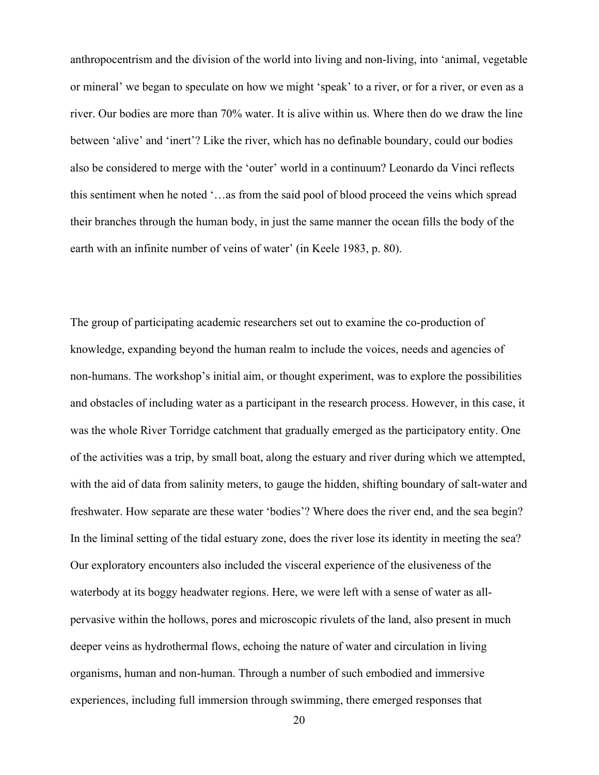anthropocentrism and the division of the world into living and non-living, into 'animal, vegetable or mineral' we began to speculate on how we might 'speak' to a river, or for a river, or even as a river. Our bodies are more than 70% water. It is alive within us. Where then do we draw the line between 'alive' and 'inert'? Like the river, which has no definable boundary, could our bodies also be considered to merge with the 'outer' world in a continuum? Leonardo da Vinci reflects this sentiment when he noted '…as from the said pool of blood proceed the veins which spread their branches through the human body, in just the same manner the ocean fills the body of the earth with an infinite number of veins of water' (in Keele 1983, p. 80).

The group of participating academic researchers set out to examine the co-production of knowledge, expanding beyond the human realm to include the voices, needs and agencies of non-humans. The workshop's initial aim, or thought experiment, was to explore the possibilities and obstacles of including water as a participant in the research process. However, in this case, it was the whole River Torridge catchment that gradually emerged as the participatory entity. One of the activities was a trip, by small boat, along the estuary and river during which we attempted, with the aid of data from salinity meters, to gauge the hidden, shifting boundary of salt-water and freshwater. How separate are these water 'bodies'? Where does the river end, and the sea begin? In the liminal setting of the tidal estuary zone, does the river lose its identity in meeting the sea? Our exploratory encounters also included the visceral experience of the elusiveness of the waterbody at its boggy headwater regions. Here, we were left with a sense of water as allpervasive within the hollows, pores and microscopic rivulets of the land, also present in much deeper veins as hydrothermal flows, echoing the nature of water and circulation in living organisms, human and non-human. Through a number of such embodied and immersive experiences, including full immersion through swimming, there emerged responses that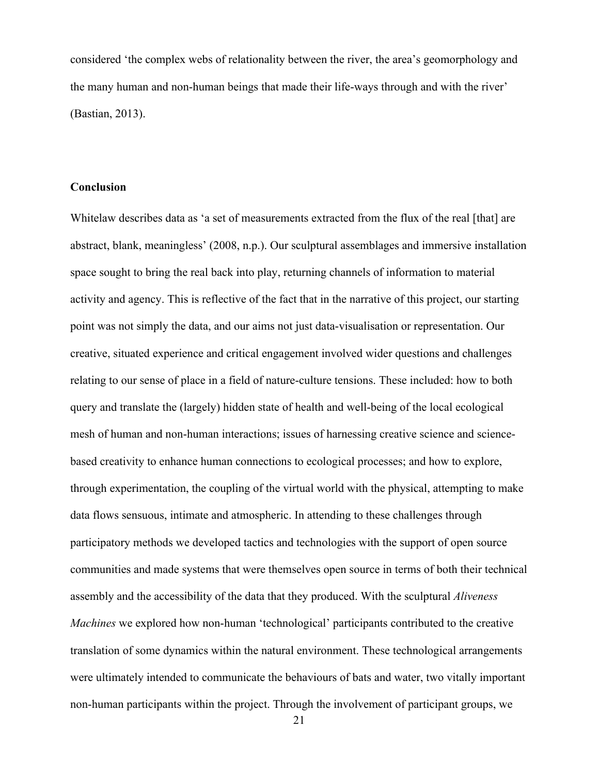considered 'the complex webs of relationality between the river, the area's geomorphology and the many human and non-human beings that made their life-ways through and with the river' (Bastian, 2013).

### **Conclusion**

Whitelaw describes data as 'a set of measurements extracted from the flux of the real [that] are abstract, blank, meaningless' (2008, n.p.). Our sculptural assemblages and immersive installation space sought to bring the real back into play, returning channels of information to material activity and agency. This is reflective of the fact that in the narrative of this project, our starting point was not simply the data, and our aims not just data-visualisation or representation. Our creative, situated experience and critical engagement involved wider questions and challenges relating to our sense of place in a field of nature-culture tensions. These included: how to both query and translate the (largely) hidden state of health and well-being of the local ecological mesh of human and non-human interactions; issues of harnessing creative science and sciencebased creativity to enhance human connections to ecological processes; and how to explore, through experimentation, the coupling of the virtual world with the physical, attempting to make data flows sensuous, intimate and atmospheric. In attending to these challenges through participatory methods we developed tactics and technologies with the support of open source communities and made systems that were themselves open source in terms of both their technical assembly and the accessibility of the data that they produced. With the sculptural *Aliveness Machines* we explored how non-human 'technological' participants contributed to the creative translation of some dynamics within the natural environment. These technological arrangements were ultimately intended to communicate the behaviours of bats and water, two vitally important non-human participants within the project. Through the involvement of participant groups, we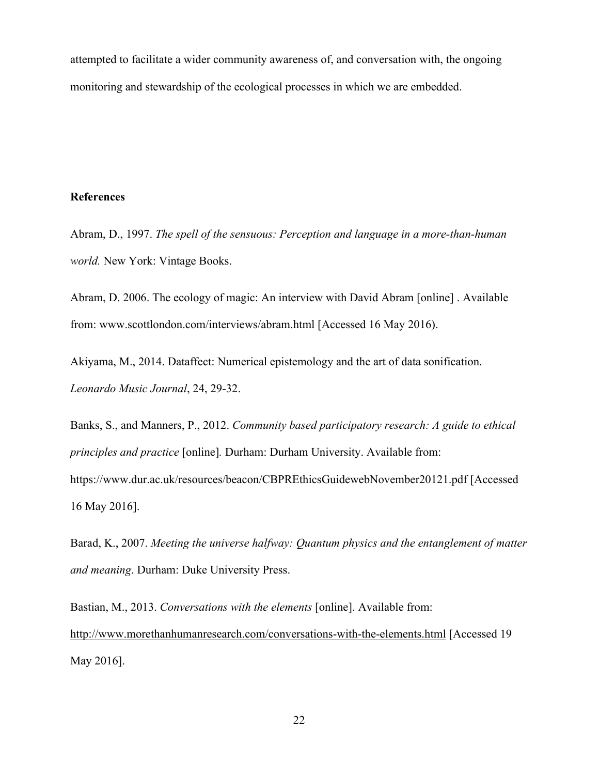attempted to facilitate a wider community awareness of, and conversation with, the ongoing monitoring and stewardship of the ecological processes in which we are embedded.

# **References**

Abram, D., 1997. *The spell of the sensuous: Perception and language in a more-than-human world.* New York: Vintage Books.

Abram, D. 2006. The ecology of magic: An interview with David Abram [online] . Available from: www.scottlondon.com/interviews/abram.html [Accessed 16 May 2016).

Akiyama, M., 2014. Dataffect: Numerical epistemology and the art of data sonification. *Leonardo Music Journal*, 24, 29-32.

Banks, S., and Manners, P., 2012. *Community based participatory research: A guide to ethical principles and practice* [online]*.* Durham: Durham University. Available from: https://www.dur.ac.uk/resources/beacon/CBPREthicsGuidewebNovember20121.pdf [Accessed 16 May 2016].

Barad, K., 2007. *Meeting the universe halfway: Quantum physics and the entanglement of matter and meaning*. Durham: Duke University Press.

Bastian, M., 2013. *Conversations with the elements* [online]. Available from: http://www.morethanhumanresearch.com/conversations-with-the-elements.html [Accessed 19 May 2016].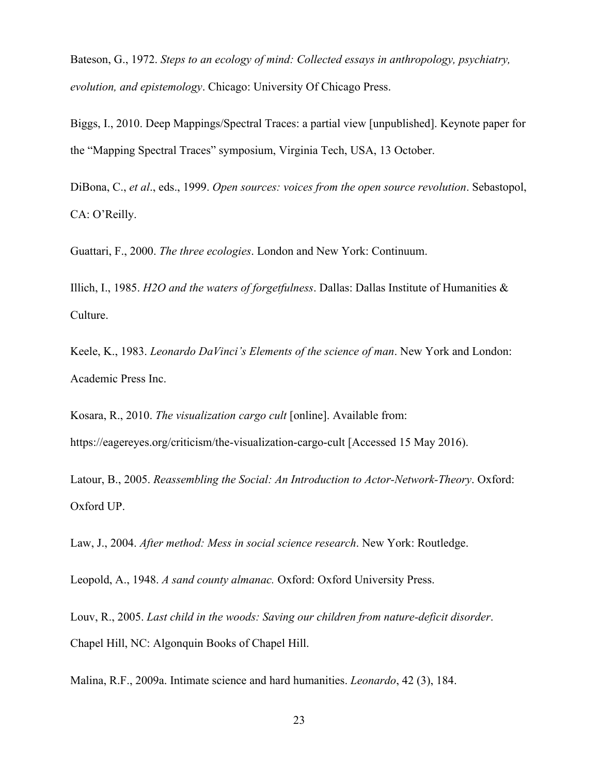Bateson, G., 1972. *Steps to an ecology of mind: Collected essays in anthropology, psychiatry, evolution, and epistemology*. Chicago: University Of Chicago Press.

Biggs, I., 2010. Deep Mappings/Spectral Traces: a partial view [unpublished]. Keynote paper for the "Mapping Spectral Traces" symposium, Virginia Tech, USA, 13 October.

DiBona, C., *et al*., eds., 1999. *Open sources: voices from the open source revolution*. Sebastopol, CA: O'Reilly.

Guattari, F., 2000. *The three ecologies*. London and New York: Continuum.

Illich, I., 1985. *H2O and the waters of forgetfulness*. Dallas: Dallas Institute of Humanities & Culture.

Keele, K., 1983. *Leonardo DaVinci's Elements of the science of man*. New York and London: Academic Press Inc.

Kosara, R., 2010. *The visualization cargo cult* [online]. Available from: https://eagereyes.org/criticism/the-visualization-cargo-cult [Accessed 15 May 2016).

Latour, B., 2005. *Reassembling the Social: An Introduction to Actor-Network-Theory*. Oxford: Oxford UP.

Law, J., 2004. *After method: Mess in social science research*. New York: Routledge.

Leopold, A., 1948. *A sand county almanac.* Oxford: Oxford University Press.

Louv, R., 2005. *Last child in the woods: Saving our children from nature-deficit disorder*. Chapel Hill, NC: Algonquin Books of Chapel Hill.

Malina, R.F., 2009a. Intimate science and hard humanities. *Leonardo*, 42 (3), 184.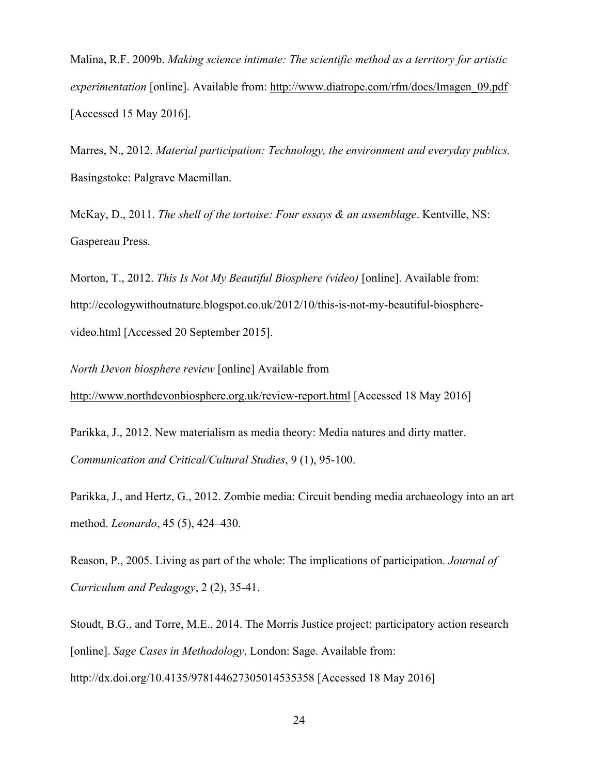Malina, R.F. 2009b. *Making science intimate: The scientific method as a territory for artistic experimentation* [online]. Available from: http://www.diatrope.com/rfm/docs/Imagen\_09.pdf [Accessed 15 May 2016].

Marres, N., 2012. *Material participation: Technology, the environment and everyday publics.* Basingstoke: Palgrave Macmillan.

McKay, D., 2011. *The shell of the tortoise: Four essays & an assemblage*. Kentville, NS: Gaspereau Press.

Morton, T., 2012. *This Is Not My Beautiful Biosphere (video)* [online]. Available from: http://ecologywithoutnature.blogspot.co.uk/2012/10/this-is-not-my-beautiful-biospherevideo.html [Accessed 20 September 2015].

*North Devon biosphere review* [online] Available from http://www.northdevonbiosphere.org.uk/review-report.html [Accessed 18 May 2016]

Parikka, J., 2012. New materialism as media theory: Media natures and dirty matter. *Communication and Critical/Cultural Studies*, 9 (1), 95-100.

Parikka, J., and Hertz, G., 2012. Zombie media: Circuit bending media archaeology into an art method. *Leonardo*, 45 (5), 424–430.

Reason, P., 2005. Living as part of the whole: The implications of participation. *Journal of Curriculum and Pedagogy*, 2 (2), 35-41.

Stoudt, B.G., and Torre, M.E., 2014. The Morris Justice project: participatory action research [online]. *Sage Cases in Methodology*, London: Sage. Available from: http://dx.doi.org/10.4135/978144627305014535358 [Accessed 18 May 2016]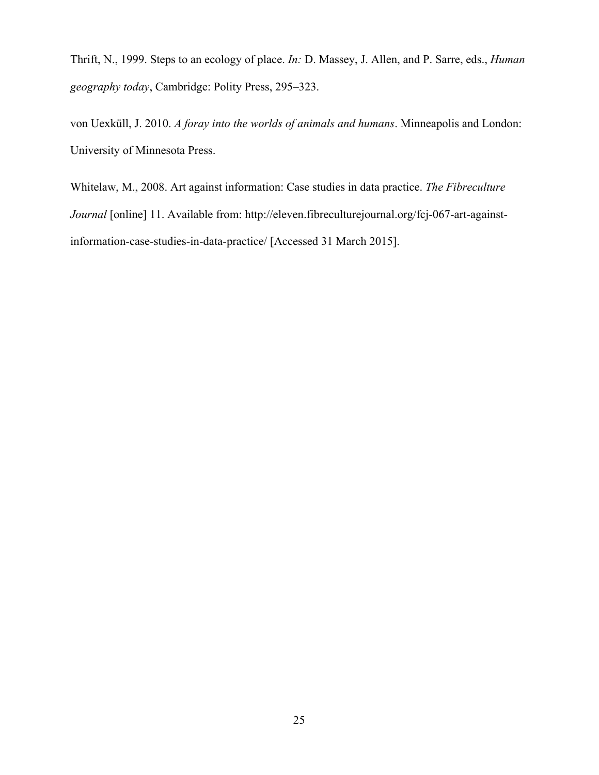Thrift, N., 1999. Steps to an ecology of place. *In:* D. Massey, J. Allen, and P. Sarre, eds., *Human geography today*, Cambridge: Polity Press, 295–323.

von Uexküll, J. 2010. *A foray into the worlds of animals and humans*. Minneapolis and London: University of Minnesota Press.

Whitelaw, M., 2008. Art against information: Case studies in data practice. *The Fibreculture Journal* [online] 11. Available from: http://eleven.fibreculturejournal.org/fcj-067-art-againstinformation-case-studies-in-data-practice/ [Accessed 31 March 2015].